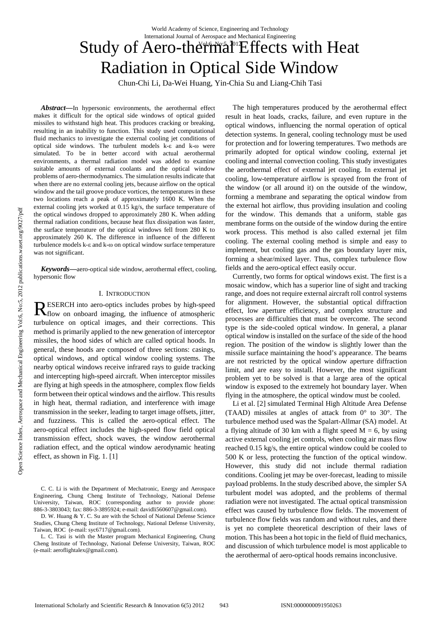# Study of Aero-thermal<sup>T</sup>Effects with Heat Radiation in Optical Side Window

Chun-Chi Li, Da-Wei Huang, Yin-Chia Su and Liang-Chih Tasi

*Abstract***—**In hypersonic environments, the aerothermal effect makes it difficult for the optical side windows of optical guided missiles to withstand high heat. This produces cracking or breaking, resulting in an inability to function. This study used computational fluid mechanics to investigate the external cooling jet conditions of optical side windows. The turbulent models k-ε and k-ω were simulated. To be in better accord with actual aerothermal environments, a thermal radiation model was added to examine suitable amounts of external coolants and the optical window problems of aero-thermodynamics. The simulation results indicate that when there are no external cooling jets, because airflow on the optical window and the tail groove produce vortices, the temperatures in these two locations reach a peak of approximately 1600 K. When the external cooling jets worked at 0.15 kg/s, the surface temperature of the optical windows dropped to approximately 280 K. When adding thermal radiation conditions, because heat flux dissipation was faster, the surface temperature of the optical windows fell from 280 K to approximately 260 K. The difference in influence of the different turbulence models k-ε and k-ω on optical window surface temperature was not significant.

*Keywords***—**aero-optical side window, aerothermal effect, cooling, hypersonic flow

## I. INTRODUCTION

ESERCH into aero-optics includes probes by high-speed RESERCH into aero-optics includes probes by high-speed<br>
flow on onboard imaging, the influence of atmospheric turbulence on optical images, and their corrections. This method is primarily applied to the new generation of interceptor missiles, the hood sides of which are called optical hoods. In general, these hoods are composed of three sections: casings, optical windows, and optical window cooling systems. The nearby optical windows receive infrared rays to guide tracking and intercepting high-speed aircraft. When interceptor missiles are flying at high speeds in the atmosphere, complex flow fields form between their optical windows and the airflow. This results in high heat, thermal radiation, and interference with image transmission in the seeker, leading to target image offsets, jitter, and fuzziness. This is called the aero-optical effect. The aero-optical effect includes the high-speed flow field optical transmission effect, shock waves, the window aerothermal radiation effect, and the optical window aerodynamic heating effect, as shown in Fig. 1. [1]

L. C. Tasi is with the Master program Mechanical Engineering, Chung Cheng Institute of Technology, National Defense University, Taiwan, ROC (e-mail: aeroflightalex@gmail.com).

The high temperatures produced by the aerothermal effect result in heat loads, cracks, failure, and even rupture in the optical windows, influencing the normal operation of optical detection systems. In general, cooling technology must be used for protection and for lowering temperatures. Two methods are primarily adopted for optical window cooling, external jet cooling and internal convection cooling. This study investigates the aerothermal effect of external jet cooling. In external jet cooling, low-temperature airflow is sprayed from the front of the window (or all around it) on the outside of the window, forming a membrane and separating the optical window from the external hot airflow, thus providing insulation and cooling for the window. This demands that a uniform, stable gas membrane forms on the outside of the window during the entire work process. This method is also called external jet film cooling. The external cooling method is simple and easy to implement, but cooling gas and the gas boundary layer mix, forming a shear/mixed layer. Thus, complex turbulence flow fields and the aero-optical effect easily occur.

Currently, two forms for optical windows exist. The first is a mosaic window, which has a superior line of sight and tracking range, and does not require external aircraft roll control systems for alignment. However, the substantial optical diffraction effect, low aperture efficiency, and complex structure and processes are difficulties that must be overcome. The second type is the side-cooled optical window. In general, a planar optical window is installed on the surface of the side of the hood region. The position of the window is slightly lower than the missile surface maintaining the hood's appearance. The beams are not restricted by the optical window aperture diffraction limit, and are easy to install. However, the most significant problem yet to be solved is that a large area of the optical window is exposed to the extremely hot boundary layer. When flying in the atmosphere, the optical window must be cooled.

Li et al. [2] simulated Terminal High Altitude Area Defense (TAAD) missiles at angles of attack from  $0^{\circ}$  to  $30^{\circ}$ . The turbulence method used was the Spalart-Allmar (SA) model. At a flying altitude of 30 km with a flight speed  $M = 6$ , by using active external cooling jet controls, when cooling air mass flow reached 0.15 kg/s, the entire optical window could be cooled to 500 K or less, protecting the function of the optical window. However, this study did not include thermal radiation conditions. Cooling jet may be over-forecast, leading to missile payload problems. In the study described above, the simpler SA turbulent model was adopted, and the problems of thermal radiation were not investigated. The actual optical transmission effect was caused by turbulence flow fields. The movement of turbulence flow fields was random and without rules, and there is yet no complete theoretical description of their laws of motion. This has been a hot topic in the field of fluid mechanics, and discussion of which turbulence model is most applicable to the aerothermal of aero-optical hoods remains inconclusive.

C. C. Li is with the Department of Mechatronic, Energy and Aerospace Engineering, Chung Cheng Institute of Technology, National Defense University, Taiwan, ROC (corresponding author to provide phone: 886-3-3803043; fax: 886-3-3895924; e-mail: davidli560607@gmail.com).

D. W. Huang & Y. C. Su are with the School of National Defense Science Studies, Chung Cheng Institute of Technology, National Defense University, Taiwan, ROC (e-mail: syc6717@gmail.com).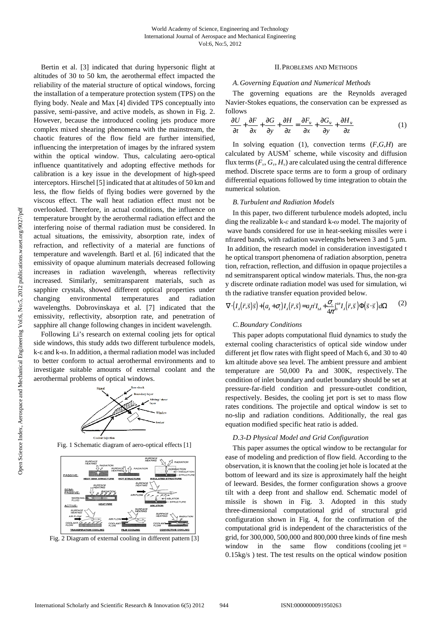Bertin et al. [3] indicated that during hypersonic flight at altitudes of 30 to 50 km, the aerothermal effect impacted the reliability of the material structure of optical windows, forcing the installation of a temperature protection system (TPS) on the flying body. Neale and Max [4] divided TPS conceptually into passive, semi-passive, and active models, as shown in Fig. 2. However, because the introduced cooling jets produce more complex mixed shearing phenomena with the mainstream, the chaotic features of the flow field are further intensified, influencing the interpretation of images by the infrared system within the optical window. Thus, calculating aero-optical influence quantitatively and adopting effective methods for calibration is a key issue in the development of high-speed interceptors. Hirschel [5] indicated that at altitudes of 50 km and less, the flow fields of flying bodies were governed by the viscous effect. The wall heat radiation effect must not be overlooked. Therefore, in actual conditions, the influence on temperature brought by the aerothermal radiation effect and the interfering noise of thermal radiation must be considered. In actual situations, the emissivity, absorption rate, index of refraction, and reflectivity of a material are functions of temperature and wavelength. Bartl et al. [6] indicated that the emissivity of opaque aluminum materials decreased following increases in radiation wavelength, whereas reflectivity increased. Similarly, semitransparent materials, such as sapphire crystals, showed different optical properties under changing environmental temperatures and radiation wavelengths. Dobrovinskaya et al. [7] indicated that the emissivity, reflectivity, absorption rate, and penetration of sapphire all change following changes in incident wavelength.

Following Li's research on external cooling jets for optical side windows, this study adds two different turbulence models, k-ε and k-ω. In addition, a thermal radiation model was included to better conform to actual aerothermal environments and to investigate suitable amounts of external coolant and the aerothermal problems of optical windows.



Fig. 1 Schematic diagram of aero-optical effects [1]



Fig. 2 Diagram of external cooling in different pattern [3]

### II.PROBLEMS AND METHODS

#### *A.Governing Equation and Numerical Methods*

The governing equations are the Reynolds averaged Navier-Stokes equations, the conservation can be expressed as follows

$$
\frac{\partial U}{\partial t} + \frac{\partial F}{\partial x} + \frac{\partial G}{\partial y} + \frac{\partial H}{\partial z} = \frac{\partial F_v}{\partial x} + \frac{\partial G_v}{\partial y} + \frac{\partial H_v}{\partial z}
$$
(1)

In solving equation (1), convection terms (*F*,*G*,*H*) are calculated by  $AUSM<sup>+</sup>$  scheme, while viscosity and diffusion flux terms  $(F_v, G_v, H_v)$  are calculated using the central difference method. Discrete space terms are to form a group of ordinary differential equations followed by time integration to obtain the numerical solution.

#### *B.Turbulent and Radiation Models*

In this paper, two different turbulence models adopted, inclu ding the realizable k-*ε* and standard k-*ω* model. The majority of wave bands considered for use in heat-seeking missiles were i nfrared bands, with radiation wavelengths between 3 and 5  $\mu$ m. In addition, the research model in consideration investigated t he optical transport phenomena of radiation absorption, penetra tion, refraction, reflection, and diffusion in opaque projectiles a nd semitransparent optical window materials. Thus, the non-gra y discrete ordinate radiation model was used for simulation, wi th the radiative transfer equation provided below.

$$
\nabla \cdot (I_{\lambda}(\vec{r},\vec{s})\vec{s}) + (a_{\lambda} + \sigma_{\lambda})I_{\lambda}(\vec{r},\vec{s}) = a_{\lambda} n^{2} I_{\lambda \lambda} + \frac{\sigma_{s}}{4\pi} \int_{0}^{\delta \pi} I_{\lambda}(\vec{r},\vec{s}) \Phi(\vec{s} \cdot \vec{s}) d\Omega \qquad (2)
$$

# *C.Boundary Conditions*

This paper adopts computational fluid dynamics to study the external cooling characteristics of optical side window under different jet flow rates with flight speed of Mach 6, and 30 to 40 km altitude above sea level. The ambient pressure and ambient temperature are 50,000 Pa and 300K, respectively. The condition of inlet boundary and outlet boundary should be set at pressure-far-field condition and pressure-outlet condition, respectively. Besides, the cooling jet port is set to mass flow rates conditions. The projectile and optical window is set to no-slip and radiation conditions. Additionally, the real gas equation modified specific heat ratio is added.

### *D.3-D Physical Model and Grid Configuration*

This paper assumes the optical window to be rectangular for ease of modeling and prediction of flow field. According to the observation, it is known that the cooling jet hole is located at the bottom of leeward and its size is approximately half the height of leeward. Besides, the former configuration shows a groove tilt with a deep front and shallow end. Schematic model of missile is shown in Fig. 3. Adopted in this study three-dimensional computational grid of structural grid configuration shown in Fig. 4, for the confirmation of the computational grid is independent of the characteristics of the grid, for 300,000, 500,000 and 800,000 three kinds of fine mesh window in the same flow conditions (cooling jet  $=$ 0.15kg/s ) test. The test results on the optical window position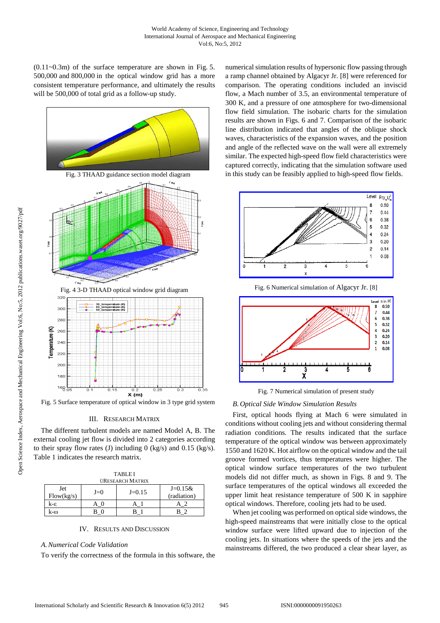$(0.11-0.3m)$  of the surface temperature are shown in Fig. 5. 500,000 and 800,000 in the optical window grid has a more consistent temperature performance, and ultimately the results will be 500,000 of total grid as a follow-up study.



Fig. 5 Surface temperature of optical window in 3 type grid system

### III. RESEARCH MATRIX

The different turbulent models are named Model A, B. The external cooling jet flow is divided into 2 categories according to their spray flow rates (J) including 0 (kg/s) and 0.15 (kg/s). Table 1 indicates the research matrix.

| <b>TABLEI</b>           |       |          |                          |
|-------------------------|-------|----------|--------------------------|
| <b>ÜRESEARCH MATRIX</b> |       |          |                          |
| Jet<br>Flow(kg/s)       | $J=0$ | $J=0.15$ | $J=0.15&$<br>(radiation) |
| k-ε                     |       |          |                          |
| k-ω                     |       |          |                          |

# IV. RESULTS AND DISCUSSION

# *A.Numerical Code Validation*

To verify the correctness of the formula in this software, the

numerical simulation results of hypersonic flow passing through a ramp channel obtained by Algacyr Jr. [8] were referenced for comparison. The operating conditions included an inviscid flow, a Mach number of 3.5, an environmental temperature of 300 K, and a pressure of one atmosphere for two-dimensional flow field simulation. The isobaric charts for the simulation results are shown in Figs. 6 and 7. Comparison of the isobaric line distribution indicated that angles of the oblique shock waves, characteristics of the expansion waves, and the position and angle of the reflected wave on the wall were all extremely similar. The expected high-speed flow field characteristics were captured correctly, indicating that the simulation software used in this study can be feasibly applied to high-speed flow fields.



Fig. 6 Numerical simulation of Algacyr Jr. [8]



Fig. 7 Numerical simulation of present study

### *B.Optical Side Window Simulation Results*

First, optical hoods flying at Mach 6 were simulated in conditions without cooling jets and without considering thermal radiation conditions. The results indicated that the surface temperature of the optical window was between approximately 1550 and 1620 K. Hot airflow on the optical window and the tail groove formed vortices, thus temperatures were higher. The optical window surface temperatures of the two turbulent models did not differ much, as shown in Figs. 8 and 9. The surface temperatures of the optical windows all exceeded the upper limit heat resistance temperature of 500 K in sapphire optical windows. Therefore, cooling jets had to be used.

When jet cooling was performed on optical side windows, the high-speed mainstreams that were initially close to the optical window surface were lifted upward due to injection of the cooling jets. In situations where the speeds of the jets and the mainstreams differed, the two produced a clear shear layer, as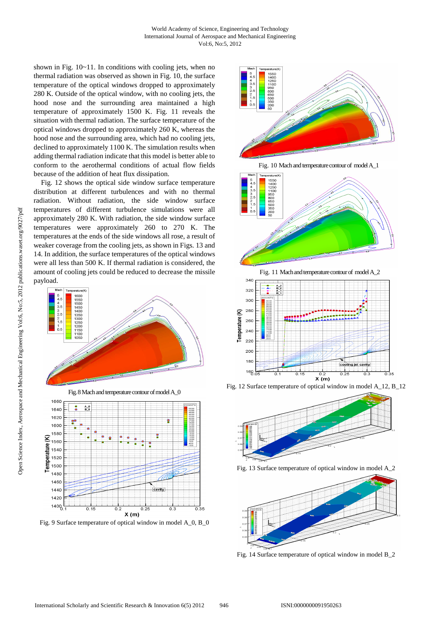shown in Fig. 10~11. In conditions with cooling jets, when no thermal radiation was observed as shown in Fig. 10, the surface temperature of the optical windows dropped to approximately 280 K. Outside of the optical window, with no cooling jets, the hood nose and the surrounding area maintained a high temperature of approximately 1500 K. Fig. 11 reveals the situation with thermal radiation. The surface temperature of the optical windows dropped to approximately 260 K, whereas the hood nose and the surrounding area, which had no cooling jets, declined to approximately 1100 K. The simulation results when adding thermal radiation indicate that this model is better able to conform to the aerothermal conditions of actual flow fields because of the addition of heat flux dissipation.

Fig. 12 shows the optical side window surface temperature distribution at different turbulences and with no thermal radiation. Without radiation, the side window surface temperatures of different turbulence simulations were all approximately 280 K. With radiation, the side window surface temperatures were approximately 260 to 270 K. The temperatures at the ends of the side windows all rose, a result of weaker coverage from the cooling jets, as shown in Figs. 13 and 14. In addition, the surface temperatures of the optical windows were all less than 500 K. If thermal radiation is considered, the amount of cooling jets could be reduced to decrease the missile payload.



Fig. 9 Surface temperature of optical window in model A\_0, B\_0



Fig. 10 Mach and temperature contour of model A\_1





Fig. 12 Surface temperature of optical window in model A\_12, B\_12



Fig. 13 Surface temperature of optical window in model A\_2



Fig. 14 Surface temperature of optical window in model B\_2